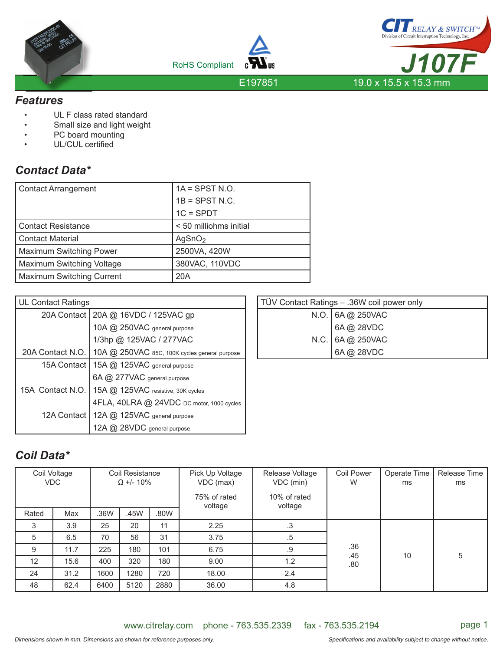





E197851

#### *Features*

- UL F class rated standard
- Small size and light weight
- PC board mounting
- UL/CUL certified

## *Contact Data\**

| <b>Contact Arrangement</b>       | $1A =$ SPST N.O.       |  |  |
|----------------------------------|------------------------|--|--|
|                                  | $1B =$ SPST N.C.       |  |  |
|                                  | $1C = SPDT$            |  |  |
| <b>Contact Resistance</b>        | < 50 milliohms initial |  |  |
| <b>Contact Material</b>          | AgSnO <sub>2</sub>     |  |  |
| <b>Maximum Switching Power</b>   | 2500VA, 420W           |  |  |
| Maximum Switching Voltage        | 380VAC, 110VDC         |  |  |
| <b>Maximum Switching Current</b> | 20A                    |  |  |

| <b>UL Contact Ratings</b> |                                                                  |
|---------------------------|------------------------------------------------------------------|
|                           | 20A Contact   20A @ 16VDC / 125VAC gp                            |
|                           | 10A @ 250VAC general purpose                                     |
|                           | 1/3hp @ 125VAC / 277VAC                                          |
|                           | 20A Contact N.O.   10A @ 250VAC 85C, 100K cycles general purpose |
|                           | 15A Contact   15A @ 125VAC general purpose                       |
|                           | 6A @ 277VAC general purpose                                      |
| 15A Contact N.O.          | 15A @ 125VAC resistive, 30K cycles                               |
|                           | 4FLA, 40LRA @ 24VDC DC motor, 1000 cycles                        |
| 12A Contact               | 12A @ 125VAC general purpose                                     |
|                           | $@$ , 28VDC general purpose                                      |

| TÜV Contact Ratings - .36W coil power only |                                                                  |  |  |  |
|--------------------------------------------|------------------------------------------------------------------|--|--|--|
|                                            |                                                                  |  |  |  |
|                                            |                                                                  |  |  |  |
|                                            |                                                                  |  |  |  |
|                                            | N.O. 6A @ 250VAC<br>6A @ 28VDC<br>N.C. 6A @ 250VAC<br>6A @ 28VDC |  |  |  |
|                                            |                                                                  |  |  |  |

# *Coil Data\**

|       | Coil Voltage<br><b>VDC</b> | Coil Resistance<br>$\Omega$ +/- 10% |      | Pick Up Voltage<br>VDC (max)<br>75% of rated<br>voltage | Release Voltage<br>VDC (min)<br>10% of rated<br>voltage | <b>Coil Power</b><br>W | Operate Time<br>ms | Release Time<br>ms |   |
|-------|----------------------------|-------------------------------------|------|---------------------------------------------------------|---------------------------------------------------------|------------------------|--------------------|--------------------|---|
| Rated | Max                        | .36W                                | .45W | .80W                                                    |                                                         |                        |                    |                    |   |
| 3     | 3.9                        | 25                                  | 20   | 11                                                      | 2.25                                                    | .3                     |                    |                    |   |
| 5     | 6.5                        | 70                                  | 56   | 31                                                      | 3.75                                                    | .5                     |                    |                    |   |
| 9     | 11.7                       | 225                                 | 180  | 101                                                     | 6.75                                                    | .9                     | .36                |                    |   |
| 12    | 15.6                       | 400                                 | 320  | 180                                                     | 9.00                                                    | 1.2                    | .80                | .45<br>10          | 5 |
| 24    | 31.2                       | 1600                                | 1280 | 720                                                     | 18.00                                                   | 2.4                    |                    |                    |   |
| 48    | 62.4                       | 6400                                | 5120 | 2880                                                    | 36.00                                                   | 4.8                    |                    |                    |   |

www.citrelay.com phone - 763.535.2339 fax - 763.535.2194 page 1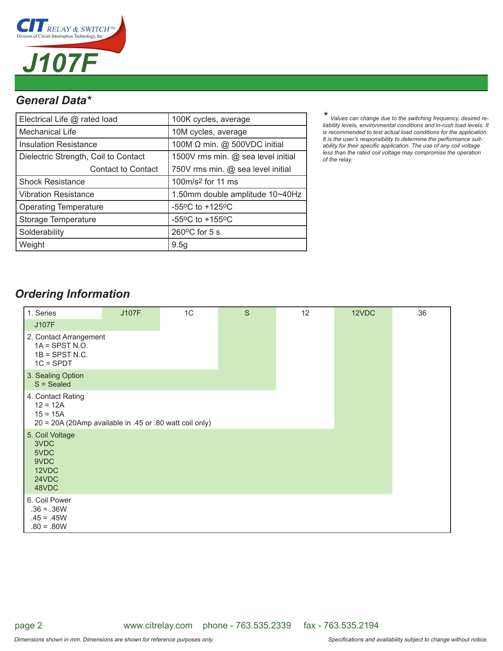

## *General Data\**

| Electrical Life @ rated load         | 100K cycles, average                                  |  |  |
|--------------------------------------|-------------------------------------------------------|--|--|
| Mechanical Life                      | 10M cycles, average                                   |  |  |
| <b>Insulation Resistance</b>         | 100M Ω min. @ 500VDC initial                          |  |  |
| Dielectric Strength, Coil to Contact | 1500V rms min. @ sea level initial                    |  |  |
| <b>Contact to Contact</b>            | 750V rms min. @ sea level initial                     |  |  |
| <b>Shock Resistance</b>              | 100m/s <sup>2</sup> for 11 ms                         |  |  |
| <b>Vibration Resistance</b>          | 1.50mm double amplitude 10~40Hz                       |  |  |
| <b>Operating Temperature</b>         | -55 $\mathrm{^{\circ}C}$ to +125 $\mathrm{^{\circ}C}$ |  |  |
| Storage Temperature                  | -55 $\mathrm{^{\circ}C}$ to +155 $\mathrm{^{\circ}C}$ |  |  |
| Solderability                        | $260^{\circ}$ C for 5 s                               |  |  |
| Weight                               | 9.5g                                                  |  |  |

*\* Values can change due to the switching frequency, desired re-liability levels, environmental conditions and in-rush load levels. It is recommended to test actual load conditions for the application. It is the user's responsibility to determine the performance suit*ability for their specific application. The use of any coil voltage *less than the rated coil voltage may compromise the operation of the relay.*

## *Ordering Information*

| 1. Series                                                                                                | <b>J107F</b> | 1C | S | 12 | 12VDC | .36 |
|----------------------------------------------------------------------------------------------------------|--------------|----|---|----|-------|-----|
| <b>J107F</b>                                                                                             |              |    |   |    |       |     |
| 2. Contact Arrangement<br>$1A =$ SPST N.O.<br>$1B =$ SPST N.C.<br>$1C = SPDT$                            |              |    |   |    |       |     |
| 3. Sealing Option<br>$S = S$ ealed                                                                       |              |    |   |    |       |     |
| 4. Contact Rating<br>$12 = 12A$<br>$15 = 15A$<br>20 = 20A (20Amp available in .45 or .80 watt coil only) |              |    |   |    |       |     |
| 5. Coil Voltage<br>3VDC<br>5VDC<br>9VDC<br>12VDC<br>24VDC<br>48VDC                                       |              |    |   |    |       |     |
| 6. Coil Power<br>$.36 = .36W$<br>$.45 = .45W$<br>$.80 = .80W$                                            |              |    |   |    |       |     |

www.citrelay.com phone - 763.535.2339 fax - 763.535.2194

page 2